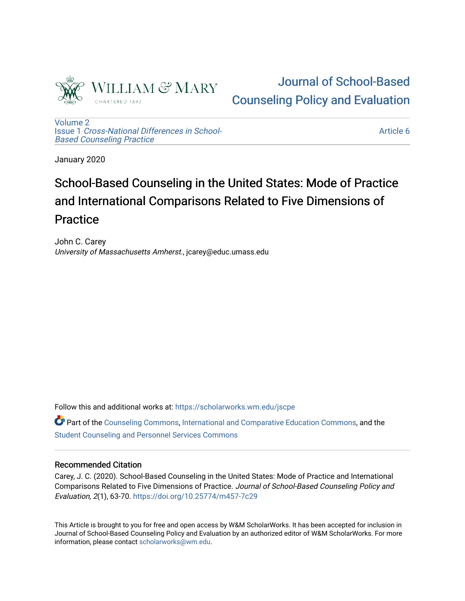

# [Journal of School-Based](https://scholarworks.wm.edu/jscpe)  [Counseling Policy and Evaluation](https://scholarworks.wm.edu/jscpe)

[Volume 2](https://scholarworks.wm.edu/jscpe/vol2) Issue 1 [Cross-National Differences in School-](https://scholarworks.wm.edu/jscpe/vol2/iss1)[Based Counseling Practice](https://scholarworks.wm.edu/jscpe/vol2/iss1) 

[Article 6](https://scholarworks.wm.edu/jscpe/vol2/iss1/6) 

January 2020

# School-Based Counseling in the United States: Mode of Practice and International Comparisons Related to Five Dimensions of Practice

John C. Carey University of Massachusetts Amherst., jcarey@educ.umass.edu

Follow this and additional works at: [https://scholarworks.wm.edu/jscpe](https://scholarworks.wm.edu/jscpe?utm_source=scholarworks.wm.edu%2Fjscpe%2Fvol2%2Fiss1%2F6&utm_medium=PDF&utm_campaign=PDFCoverPages) 

Part of the [Counseling Commons,](http://network.bepress.com/hgg/discipline/1268?utm_source=scholarworks.wm.edu%2Fjscpe%2Fvol2%2Fiss1%2F6&utm_medium=PDF&utm_campaign=PDFCoverPages) [International and Comparative Education Commons](http://network.bepress.com/hgg/discipline/797?utm_source=scholarworks.wm.edu%2Fjscpe%2Fvol2%2Fiss1%2F6&utm_medium=PDF&utm_campaign=PDFCoverPages), and the [Student Counseling and Personnel Services Commons](http://network.bepress.com/hgg/discipline/802?utm_source=scholarworks.wm.edu%2Fjscpe%2Fvol2%2Fiss1%2F6&utm_medium=PDF&utm_campaign=PDFCoverPages)

# Recommended Citation

Carey, J. C. (2020). School-Based Counseling in the United States: Mode of Practice and International Comparisons Related to Five Dimensions of Practice. Journal of School-Based Counseling Policy and Evaluation, 2(1), 63-70.<https://doi.org/10.25774/m457-7c29>

This Article is brought to you for free and open access by W&M ScholarWorks. It has been accepted for inclusion in Journal of School-Based Counseling Policy and Evaluation by an authorized editor of W&M ScholarWorks. For more information, please contact [scholarworks@wm.edu](mailto:scholarworks@wm.edu).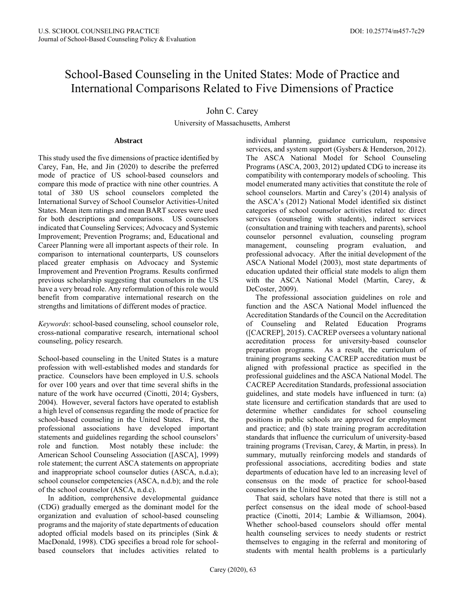# School-Based Counseling in the United States: Mode of Practice and International Comparisons Related to Five Dimensions of Practice

# John C. Carey

University of Massachusetts, Amherst

#### **Abstract**

This study used the five dimensions of practice identified by Carey, Fan, He, and Jin (2020) to describe the preferred mode of practice of US school-based counselors and compare this mode of practice with nine other countries. A total of 380 US school counselors completed the International Survey of School Counselor Activities-United States. Mean item ratings and mean BART scores were used for both descriptions and comparisons. US counselors indicated that Counseling Services; Advocacy and Systemic Improvement; Prevention Programs; and, Educational and Career Planning were all important aspects of their role. In comparison to international counterparts, US counselors placed greater emphasis on Advocacy and Systemic Improvement and Prevention Programs. Results confirmed previous scholarship suggesting that counselors in the US have a very broad role. Any reformulation of this role would benefit from comparative international research on the strengths and limitations of different modes of practice.

*Keywords*: school-based counseling, school counselor role, cross-national comparative research, international school counseling, policy research.

School-based counseling in the United States is a mature profession with well-established modes and standards for practice. Counselors have been employed in U.S. schools for over 100 years and over that time several shifts in the nature of the work have occurred (Cinotti, 2014; Gysbers, 2004). However, several factors have operated to establish a high level of consensus regarding the mode of practice for school-based counseling in the United States. First, the professional associations have developed important statements and guidelines regarding the school counselors' role and function. Most notably these include: the American School Counseling Association ([ASCA], 1999) role statement; the current ASCA statements on appropriate and inappropriate school counselor duties (ASCA, n.d.a); school counselor competencies (ASCA, n.d.b); and the role of the school counselor (ASCA, n.d.c).

 In addition, comprehensive developmental guidance (CDG) gradually emerged as the dominant model for the organization and evaluation of school-based counseling programs and the majority of state departments of education adopted official models based on its principles (Sink & MacDonald, 1998). CDG specifies a broad role for schoolbased counselors that includes activities related to individual planning, guidance curriculum, responsive services, and system support (Gysbers & Henderson, 2012). The ASCA National Model for School Counseling Programs (ASCA, 2003, 2012) updated CDG to increase its compatibility with contemporary models of schooling. This model enumerated many activities that constitute the role of school counselors. Martin and Carey's (2014) analysis of the ASCA's (2012) National Model identified six distinct categories of school counselor activities related to: direct services (counseling with students), indirect services (consultation and training with teachers and parents), school counselor personnel evaluation, counseling program management, counseling program evaluation, and professional advocacy. After the initial development of the ASCA National Model (2003), most state departments of education updated their official state models to align them with the ASCA National Model (Martin, Carey, & DeCoster, 2009).

 The professional association guidelines on role and function and the ASCA National Model influenced the Accreditation Standards of the Council on the Accreditation of Counseling and Related Education Programs ([CACREP], 2015). CACREP oversees a voluntary national accreditation process for university-based counselor preparation programs. As a result, the curriculum of training programs seeking CACREP accreditation must be aligned with professional practice as specified in the professional guidelines and the ASCA National Model. The CACREP Accreditation Standards, professional association guidelines, and state models have influenced in turn: (a) state licensure and certification standards that are used to determine whether candidates for school counseling positions in public schools are approved for employment and practice; and (b) state training program accreditation standards that influence the curriculum of university-based training programs (Trevisan, Carey, & Martin, in press). In summary, mutually reinforcing models and standards of professional associations, accrediting bodies and state departments of education have led to an increasing level of consensus on the mode of practice for school-based counselors in the United States.

 That said, scholars have noted that there is still not a perfect consensus on the ideal mode of school-based practice (Cinotti, 2014; Lambie & Williamson, 2004). Whether school-based counselors should offer mental health counseling services to needy students or restrict themselves to engaging in the referral and monitoring of students with mental health problems is a particularly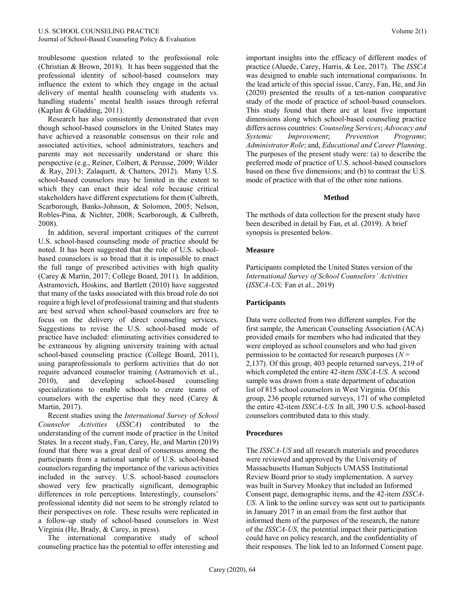troublesome question related to the professional role (Christian & Brown, 2018). It has been suggested that the professional identity of school-based counselors may influence the extent to which they engage in the actual delivery of mental health counseling with students vs. handling students' mental health issues through referral (Kaplan & Gladding, 2011).

 Research has also consistently demonstrated that even though school-based counselors in the United States may have achieved a reasonable consensus on their role and associated activities, school administrators, teachers and parents may not necessarily understand or share this perspective (e.g., Reiner, Colbert, & Perusse, 2009; Wilder & Ray, 2013; Zalaquett, & Chatters, 2012). Many U.S. school-based counselors may be limited in the extent to which they can enact their ideal role because critical stakeholders have different expectations for them (Culbreth, Scarborough, Banks-Johnson, & Solomon, 2005; Nelson, Robles-Pina, & Nichter, 2008; Scarborough, & Culbreth, 2008).

 In addition, several important critiques of the current U.S. school-based counseling mode of practice should be noted. It has been suggested that the role of U.S. schoolbased counselors is so broad that it is impossible to enact the full range of prescribed activities with high quality (Carey & Martin, 2017; College Board, 2011). In addition, Astramovich, Hoskins, and Bartlett (2010) have suggested that many of the tasks associated with this broad role do not require a high level of professional training and that students are best served when school-based counselors are free to focus on the delivery of direct counseling services. Suggestions to revise the U.S. school-based mode of practice have included: eliminating activities considered to be extraneous by aligning university training with actual school-based counseling practice (College Board, 2011), using paraprofessionals to perform activities that do not require advanced counselor training (Astramovich et al., 2010), and developing school-based counseling specializations to enable schools to create teams of counselors with the expertise that they need (Carey & Martin, 2017).

 Recent studies using the *International Survey of School Counselor Activities* (*ISSCA*) contributed to the understanding of the current mode of practice in the United States*.* In a recent study, Fan, Carey, He, and Martin (2019) found that there was a great deal of consensus among the participants from a national sample of U.S. school-based counselors regarding the importance of the various activities included in the survey. U.S. school-based counselors showed very few practically significant, demographic differences in role perceptions. Interestingly, counselors' professional identity did not seem to be strongly related to their perspectives on role. These results were replicated in a follow-up study of school-based counselors in West Virginia (He, Brady, & Carey, in press).

 The international comparative study of school counseling practice has the potential to offer interesting and

important insights into the efficacy of different modes of practice (Aluede, Carey, Harris, & Lee, 2017). The *ISSCA*  was designed to enable such international comparisons. In the lead article of this special issue, Carey, Fan, He, and Jin (2020) presented the results of a ten-nation comparative study of the mode of practice of school-based counselors. This study found that there are at least five important dimensions along which school-based counseling practice differs across countries: *Counseling Services*; *Advocacy and Systemic Improvement*; *Prevention Programs*; *Administrator Role*; and, *Educational and Career Planning*. The purposes of the present study were: (a) to describe the preferred mode of practice of U.S. school-based counselors based on these five dimensions; and (b) to contrast the U.S. mode of practice with that of the other nine nations.

#### **Method**

The methods of data collection for the present study have been described in detail by Fan, et al. (2019). A brief synopsis is presented below.

#### **Measure**

Participants completed the United States version of the *International Survey of School Counselors' Activities* (*ISSCA-US;* Fan et al., 2019)

### **Participants**

Data were collected from two different samples. For the first sample, the American Counseling Association (ACA) provided emails for members who had indicated that they were employed as school counselors and who had given permission to be contacted for research purposes (*N* = 2,137). Of this group, 403 people returned surveys, 219 of which completed the entire 42-item *ISSCA-US.* A second sample was drawn from a state department of education list of 815 school counselors in West Virginia. Of this group, 236 people returned surveys, 171 of who completed the entire 42-item *ISSCA-US.* In all, 390 U.S. school-based counselors contributed data to this study.

#### **Procedures**

The *ISSCA-US* and all research materials and procedures were reviewed and approved by the University of Massachusetts Human Subjects UMASS Institutional Review Board prior to study implementation. A survey was built in Survey Monkey that included an Informed Consent page, demographic items, and the 42-item *ISSCA-US*. A link to the online survey was sent out to participants in January 2017 in an email from the first author that informed them of the purposes of the research, the nature of the *ISSCA-US,* the potential impact their participation could have on policy research, and the confidentiality of their responses. The link led to an Informed Consent page.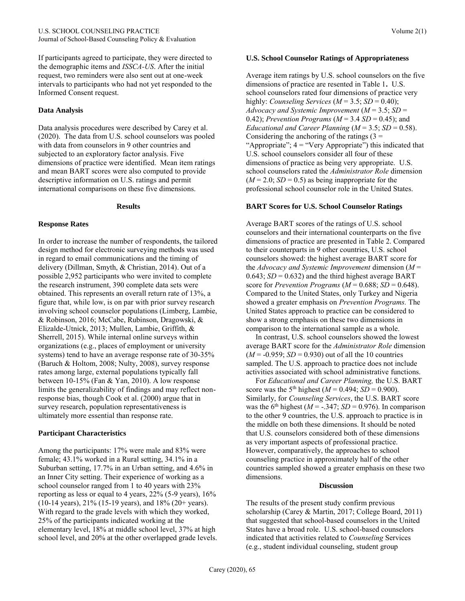If participants agreed to participate, they were directed to the demographic items and *ISSCA-US*. After the initial request, two reminders were also sent out at one-week intervals to participants who had not yet responded to the Informed Consent request.

#### **Data Analysis**

Data analysis procedures were described by Carey et al. (2020). The data from U.S. school counselors was pooled with data from counselors in 9 other countries and subjected to an exploratory factor analysis. Five dimensions of practice were identified. Mean item ratings and mean BART scores were also computed to provide descriptive information on U.S. ratings and permit international comparisons on these five dimensions.

#### **Results**

#### **Response Rates**

In order to increase the number of respondents, the tailored design method for electronic surveying methods was used in regard to email communications and the timing of delivery (Dillman, Smyth, & Christian, 2014). Out of a possible 2,952 participants who were invited to complete the research instrument, 390 complete data sets were obtained. This represents an overall return rate of 13%, a figure that, while low, is on par with prior survey research involving school counselor populations (Limberg, Lambie, & Robinson, 2016; McCabe, Rubinson, Dragowski, & Elizalde-Utnick, 2013; Mullen, Lambie, Griffith, & Sherrell, 2015). While internal online surveys within organizations (e.g., places of employment or university systems) tend to have an average response rate of 30-35% (Baruch & Holtom, 2008; Nulty, 2008), survey response rates among large, external populations typically fall between 10-15% (Fan & Yan, 2010). A low response limits the generalizability of findings and may reflect nonresponse bias, though Cook et al. (2000) argue that in survey research, population representativeness is ultimately more essential than response rate.

#### **Participant Characteristics**

Among the participants: 17% were male and 83% were female; 43.1% worked in a Rural setting, 34.1% in a Suburban setting, 17.7% in an Urban setting, and 4.6% in an Inner City setting. Their experience of working as a school counselor ranged from 1 to 40 years with 23% reporting as less or equal to 4 years, 22% (5-9 years), 16%  $(10-14 \text{ years})$ ,  $21\%$  (15-19 years), and  $18\%$  (20+ years). With regard to the grade levels with which they worked, 25% of the participants indicated working at the elementary level, 18% at middle school level, 37% at high school level, and 20% at the other overlapped grade levels.

#### **U.S. School Counselor Ratings of Appropriateness**

Average item ratings by U.S. school counselors on the five dimensions of practice are resented in Table 1**.** U.S. school counselors rated four dimensions of practice very highly: *Counseling Services* ( $M = 3.5$ ; *SD* = 0.40); *Advocacy and Systemic Improvement* (*M* = 3.5; *SD* = 0.42); *Prevention Programs*  $(M = 3.4 \text{ SD} = 0.45)$ ; and *Educational and Career Planning*  $(M = 3.5; SD = 0.58)$ . Considering the anchoring of the ratings  $(3 =$ "Appropriate";  $4 =$  "Very Appropriate") this indicated that U.S. school counselors consider all four of these dimensions of practice as being very appropriate. U.S. school counselors rated the *Administrator Role* dimension  $(M = 2.0; SD = 0.5)$  as being inappropriate for the professional school counselor role in the United States.

#### **BART Scores for U.S. School Counselor Ratings**

Average BART scores of the ratings of U.S. school counselors and their international counterparts on the five dimensions of practice are presented in Table 2. Compared to their counterparts in 9 other countries, U.S. school counselors showed: the highest average BART score for the *Advocacy and Systemic Improvement* dimension (*M* =  $0.643$ ;  $SD = 0.632$ ) and the third highest average BART score for *Prevention Programs*  $(M = 0.688; SD = 0.648)$ . Compared to the United States, only Turkey and Nigeria showed a greater emphasis on *Prevention Programs.* The United States approach to practice can be considered to show a strong emphasis on these two dimensions in comparison to the international sample as a whole.

 In contrast, U.S. school counselors showed the lowest average BART score for the *Administrator Role* dimension  $(M = -0.959; SD = 0.930)$  out of all the 10 countries sampled. The U.S. approach to practice does not include activities associated with school administrative functions.

 For *Educational and Career Planning,* the U.S. BART score was the 5<sup>th</sup> highest ( $M = 0.494$ ;  $SD = 0.900$ ). Similarly, for *Counseling Services*, the U.S. BART score was the 6<sup>th</sup> highest ( $M = -0.347$ ;  $SD = 0.976$ ). In comparison to the other 9 countries, the U.S. approach to practice is in the middle on both these dimensions. It should be noted that U.S. counselors considered both of these dimensions as very important aspects of professional practice. However, comparatively, the approaches to school counseling practice in approximately half of the other countries sampled showed a greater emphasis on these two dimensions.

#### **Discussion**

The results of the present study confirm previous scholarship (Carey & Martin, 2017; College Board, 2011) that suggested that school-based counselors in the United States have a broad role. U.S. school-based counselors indicated that activities related to *Counseling* Services (e.g., student individual counseling, student group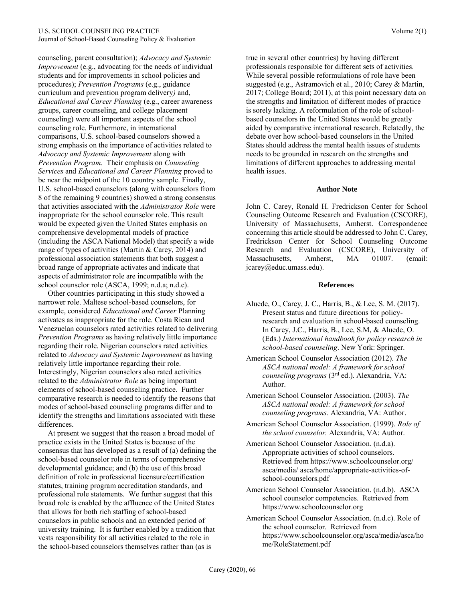counseling, parent consultation); *Advocacy and Systemic Improvement* (e.g., advocating for the needs of individual students and for improvements in school policies and procedures); *Prevention Programs* (e.g., guidance curriculum and prevention program delivery*)* and, *Educational and Career Planning* (e.g., career awareness groups, career counseling, and college placement counseling) were all important aspects of the school counseling role. Furthermore, in international comparisons, U.S. school-based counselors showed a strong emphasis on the importance of activities related to *Advocacy and Systemic Improvement* along with *Prevention Program.* Their emphasis on *Counseling Services* and *Educational and Career Planning* proved to be near the midpoint of the 10 country sample. Finally, U.S. school-based counselors (along with counselors from 8 of the remaining 9 countries) showed a strong consensus that activities associated with the *Administrator Role* were inappropriate for the school counselor role. This result would be expected given the United States emphasis on comprehensive developmental models of practice (including the ASCA National Model) that specify a wide range of types of activities (Martin & Carey, 2014) and professional association statements that both suggest a broad range of appropriate activates and indicate that aspects of administrator role are incompatible with the school counselor role (ASCA, 1999; n.d.a; n.d.c).

 Other countries participating in this study showed a narrower role. Maltese school-based counselors, for example, considered *Educational and Career* Planning activates as inappropriate for the role. Costa Rican and Venezuelan counselors rated activities related to delivering *Prevention Programs* as having relatively little importance regarding their role. Nigerian counselors rated activities related to *Advocacy and Systemic Improvement* as having relatively little importance regarding their role. Interestingly, Nigerian counselors also rated activities related to the *Administrator Role* as being important elements of school-based counseling practice. Further comparative research is needed to identify the reasons that modes of school-based counseling programs differ and to identify the strengths and limitations associated with these differences.

 At present we suggest that the reason a broad model of practice exists in the United States is because of the consensus that has developed as a result of (a) defining the school-based counselor role in terms of comprehensive developmental guidance; and (b) the use of this broad definition of role in professional licensure/certification statutes, training program accreditation standards, and professional role statements. We further suggest that this broad role is enabled by the affluence of the United States that allows for both rich staffing of school-based counselors in public schools and an extended period of university training. It is further enabled by a tradition that vests responsibility for all activities related to the role in the school-based counselors themselves rather than (as is

true in several other countries) by having different professionals responsible for different sets of activities. While several possible reformulations of role have been suggested (e.g., Astramovich et al., 2010; Carey & Martin, 2017; College Board; 2011), at this point necessary data on the strengths and limitation of different modes of practice is sorely lacking. A reformulation of the role of schoolbased counselors in the United States would be greatly aided by comparative international research. Relatedly, the debate over how school-based counselors in the United States should address the mental health issues of students needs to be grounded in research on the strengths and limitations of different approaches to addressing mental health issues.

#### **Author Note**

John C. Carey, Ronald H. Fredrickson Center for School Counseling Outcome Research and Evaluation (CSCORE), University of Massachusetts, Amherst. Correspondence concerning this article should be addressed to John C. Carey, Fredrickson Center for School Counseling Outcome Research and Evaluation (CSCORE), University of Massachusetts, Amherst, MA 01007. (email: jcarey@educ.umass.edu).

#### **References**

- Aluede, O., Carey, J. C., Harris, B., & Lee, S. M. (2017). Present status and future directions for policyresearch and evaluation in school-based counseling. In Carey, J.C., Harris, B., Lee, S.M, & Aluede, O. (Eds.) *International handbook for policy research in school-based counseling*. New York: Springer.
- American School Counselor Association (2012). *The ASCA national model: A framework for school counseling programs* (3rd ed.). Alexandria, VA: Author.
- American School Counselor Association. (2003). *The ASCA national model: A framework for school counseling programs.* Alexandria, VA: Author.
- American School Counselor Association. (1999). *Role of the school counselor.* Alexandria, VA: Author.
- American School Counselor Association. (n.d.a). Appropriate activities of school counselors. Retrieved from https://www.schoolcounselor.org/ asca/media/ asca/home/appropriate-activities-ofschool-counselors.pdf
- American School Counselor Association. (n.d.b). ASCA school counselor competencies. Retrieved from https://www.schoolcounselor.org
- American School Counselor Association. (n.d.c). Role of the school counselor. Retrieved from https://www.schoolcounselor.org/asca/media/asca/ho me/RoleStatement.pdf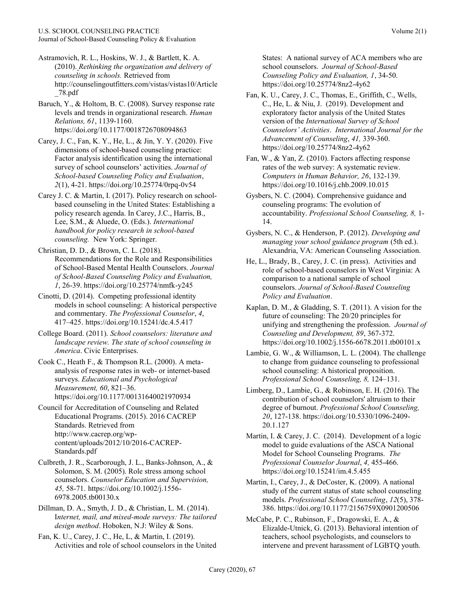- Astramovich, R. L., Hoskins, W. J., & Bartlett, K. A. (2010). *Rethinking the organization and delivery of counseling in schools.* Retrieved from http://counselingoutfitters.com/vistas/vistas10/Article \_78.pdf
- Baruch, Y., & Holtom, B. C. (2008). Survey response rate levels and trends in organizational research. *Human Relations, 61*, 1139-1160. https://doi.org/10.1177/0018726708094863
- Carey, J. C., Fan, K. Y., He, L., & Jin, Y. Y. (2020). Five dimensions of school-based counseling practice: Factor analysis identification using the international survey of school counselors' activities. *Journal of School-based Counseling Policy and Evaluation*, *2*(1), 4-21. https://doi.org/10.25774/0rpq-0v54
- Carey J. C. & Martin, I. (2017). Policy research on schoolbased counseling in the United States: Establishing a policy research agenda. In Carey, J.C., Harris, B., Lee, S.M., & Aluede, O. (Eds.). *International handbook for policy research in school-based counseling.* New York: Springer.
- Christian, D. D., & Brown, C. L. (2018). Recommendations for the Role and Responsibilities of School-Based Mental Health Counselors. *Journal of School-Based Counseling Policy and Evaluation, 1*, 26-39. https://doi.org/10.25774/nmfk-y245
- Cinotti, D. (2014). Competing professional identity models in school counseling: A historical perspective and commentary. *The Professional Counselor*, *4*, 417–425. https://doi.org/10.15241/dc.4.5.417
- College Board. (2011). *School counselors: literature and landscape review. The state of school counseling in America*. Civic Enterprises.
- Cook C., Heath F., & Thompson R.L. (2000). A metaanalysis of response rates in web- or internet-based surveys. *Educational and Psychological Measurement, 60*, 821–36. https://doi.org/10.1177/00131640021970934
- Council for Accreditation of Counseling and Related Educational Programs. (2015). 2016 CACREP Standards. Retrieved from http://www.cacrep.org/wpcontent/uploads/2012/10/2016-CACREP-Standards.pdf
- Culbreth, J. R., Scarborough, J. L., Banks-Johnson, A., & Solomon, S. M. (2005). Role stress among school counselors. *Counselor Education and Supervision, 45,* 58-71. https://doi.org/10.1002/j.1556- 6978.2005.tb00130.x
- Dillman, D. A., Smyth, J. D., & Christian, L. M. (2014). I*nternet, mail, and mixed-mode surveys: The tailored design method*. Hoboken, N.J: Wiley & Sons.
- Fan, K. U., Carey, J. C., He, L, & Martin, I. (2019). Activities and role of school counselors in the United

States: A national survey of ACA members who are school counselors. *Journal of School-Based Counseling Policy and Evaluation, 1*, 34-50. https://doi.org/10.25774/8nz2-4y62

- Fan, K. U., Carey, J. C., Thomas, E., Griffith, C., Wells, C., He, L. & Niu, J. (2019). Development and exploratory factor analysis of the United States version of the *International Survey of School Counselors' Activities*. *International Journal for the Advancement of Counseling*, *41,* 339-360. https://doi.org/10.25774/8nz2-4y62
- Fan, W., & Yan, Z. (2010). Factors affecting response rates of the web survey: A systematic review. *Computers in Human Behavior, 26*, 132-139. https://doi.org/10.1016/j.chb.2009.10.015
- Gysbers, N. C. (2004). Comprehensive guidance and counseling programs: The evolution of accountability. *Professional School Counseling, 8,* 1- 14.
- Gysbers, N. C., & Henderson, P. (2012). *Developing and managing your school guidance program* (5th ed.). Alexandria, VA: American Counseling Association.
- He, L., Brady, B., Carey, J. C. (in press). Activities and role of school-based counselors in West Virginia: A comparison to a national sample of school counselors. *Journal of School-Based Counseling Policy and Evaluation*.
- Kaplan, D. M., & Gladding, S. T. (2011). A vision for the future of counseling: The 20/20 principles for unifying and strengthening the profession. *Journal of Counseling and Development, 89*, 367-372. https://doi.org/10.1002/j.1556-6678.2011.tb00101.x
- Lambie, G. W., & Williamson, L. L. (2004). The challenge to change from guidance counseling to professional school counseling: A historical proposition. *Professional School Counseling, 8,* 124–131.
- Limberg, D., Lambie, G., & Robinson, E. H. (2016). The contribution of school counselors' altruism to their degree of burnout. *Professional School Counseling, 20*, 127-138. https://doi.org/10.5330/1096-2409- 20.1.127
- Martin, I. & Carey, J. C. (2014). Development of a logic model to guide evaluations of the ASCA National Model for School Counseling Programs. *The Professional Counselor Journal*, *4,* 455-466. https://doi.org/10.15241/im.4.5.455
- Martin, I., Carey, J., & DeCoster, K. (2009). A national study of the current status of state school counseling models. *Professional School Counseling*, *12*(5), 378- 386. https://doi.org/10.1177/2156759X0901200506
- McCabe, P. C., Rubinson, F., Dragowski, E. A., & Elizalde-Utnick, G. (2013). Behavioral intention of teachers, school psychologists, and counselors to intervene and prevent harassment of LGBTQ youth.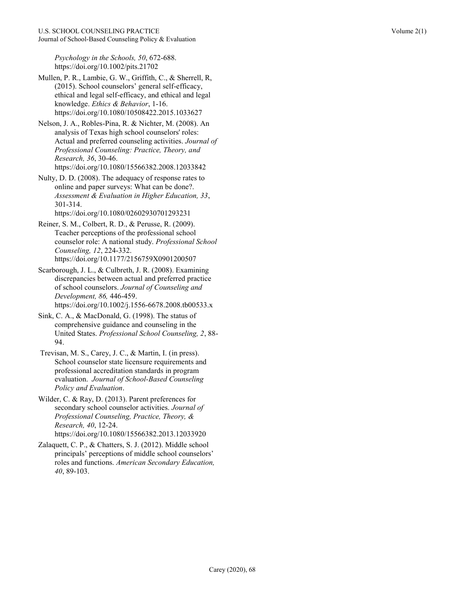*Psychology in the Schools, 50*, 672-688. https://doi.org/10.1002/pits.21702

- Mullen, P. R., Lambie, G. W., Griffith, C., & Sherrell, R, (2015). School counselors' general self-efficacy, ethical and legal self-efficacy, and ethical and legal knowledge. *Ethics & Behavior*, 1-16. https://doi.org/10.1080/10508422.2015.1033627
- Nelson, J. A., Robles-Pina, R. & Nichter, M. (2008). An analysis of Texas high school counselors' roles: Actual and preferred counseling activities. *Journal of Professional Counseling: Practice, Theory, and Research, 36*, 30-46. https://doi.org/10.1080/15566382.2008.12033842
- Nulty, D. D. (2008). The adequacy of response rates to online and paper surveys: What can be done?. *Assessment & Evaluation in Higher Education, 33*, 301-314.

https://doi.org/10.1080/02602930701293231

- Reiner, S. M., Colbert, R. D., & Perusse, R. (2009). Teacher perceptions of the professional school counselor role: A national study. *Professional School Counseling, 12*, 224-332. https://doi.org/10.1177/2156759X0901200507
- Scarborough, J. L., & Culbreth, J. R. (2008). Examining discrepancies between actual and preferred practice of school counselors. *Journal of Counseling and Development, 86,* 446-459. https://doi.org/10.1002/j.1556-6678.2008.tb00533.x
- Sink, C. A., & MacDonald, G. (1998). The status of comprehensive guidance and counseling in the United States. *Professional School Counseling, 2*, 88- 94.
- Trevisan, M. S., Carey, J. C., & Martin, I. (in press). School counselor state licensure requirements and professional accreditation standards in program evaluation. *Journal of School-Based Counseling Policy and Evaluation*.
- Wilder, C. & Ray, D. (2013). Parent preferences for secondary school counselor activities. *Journal of Professional Counseling, Practice, Theory, & Research, 40*, 12-24. https://doi.org/10.1080/15566382.2013.12033920
- Zalaquett, C. P., & Chatters, S. J. (2012). Middle school principals' perceptions of middle school counselors' roles and functions. *American Secondary Education, 40*, 89-103.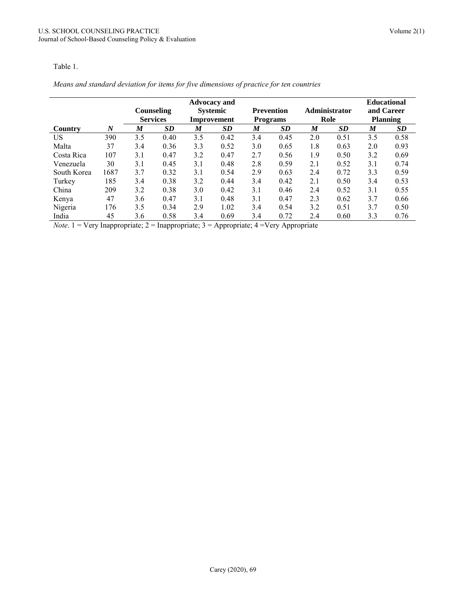#### Table 1.

# *Means and standard deviation for items for five dimensions of practice for ten countries*

|             |                  | <b>Advocacy and</b> |           |                  |      |                   |           |                      |           |                 | <b>Educational</b> |
|-------------|------------------|---------------------|-----------|------------------|------|-------------------|-----------|----------------------|-----------|-----------------|--------------------|
|             |                  | Counseling          |           | <b>Systemic</b>  |      | <b>Prevention</b> |           | <b>Administrator</b> |           | and Career      |                    |
|             |                  | <b>Services</b>     |           | Improvement      |      | <b>Programs</b>   |           | Role                 |           | <b>Planning</b> |                    |
| Country     | $\boldsymbol{N}$ | M                   | <b>SD</b> | $\boldsymbol{M}$ | SD   | M                 | <b>SD</b> | M                    | <b>SD</b> | M               | SD                 |
| US.         | 390              | 3.5                 | 0.40      | 3.5              | 0.42 | 3.4               | 0.45      | 2.0                  | 0.51      | 3.5             | 0.58               |
| Malta       | 37               | 3.4                 | 0.36      | 3.3              | 0.52 | 3.0               | 0.65      | 1.8                  | 0.63      | 2.0             | 0.93               |
| Costa Rica  | 107              | 3.1                 | 0.47      | 3.2              | 0.47 | 2.7               | 0.56      | 1.9                  | 0.50      | 3.2             | 0.69               |
| Venezuela   | 30               | 3.1                 | 0.45      | 3.1              | 0.48 | 2.8               | 0.59      | 2.1                  | 0.52      | 3.1             | 0.74               |
| South Korea | 1687             | 3.7                 | 0.32      | 3.1              | 0.54 | 2.9               | 0.63      | 2.4                  | 0.72      | 3.3             | 0.59               |
| Turkey      | 185              | 3.4                 | 0.38      | 3.2              | 0.44 | 3.4               | 0.42      | 2.1                  | 0.50      | 3.4             | 0.53               |
| China       | 209              | 3.2                 | 0.38      | 3.0              | 0.42 | 3.1               | 0.46      | 2.4                  | 0.52      | 3.1             | 0.55               |
| Kenya       | 47               | 3.6                 | 0.47      | 3.1              | 0.48 | 3.1               | 0.47      | 2.3                  | 0.62      | 3.7             | 0.66               |
| Nigeria     | 176              | 3.5                 | 0.34      | 2.9              | 1.02 | 3.4               | 0.54      | 3.2                  | 0.51      | 3.7             | 0.50               |
| India       | 45               | 3.6                 | 0.58      | 3.4              | 0.69 | 3.4               | 0.72      | 2.4                  | 0.60      | 3.3             | 0.76               |

*Note*. 1 = Very Inappropriate; 2 = Inappropriate; 3 = Appropriate; 4 =Very Appropriate